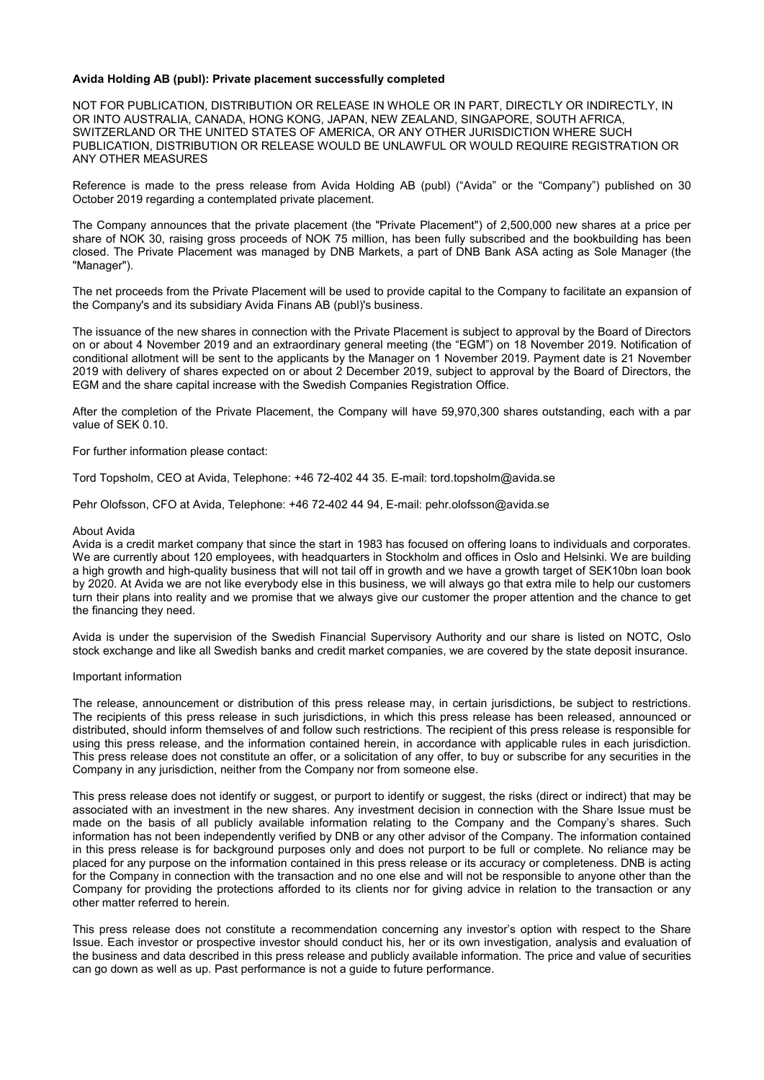## **Avida Holding AB (publ): Private placement successfully completed**

NOT FOR PUBLICATION, DISTRIBUTION OR RELEASE IN WHOLE OR IN PART, DIRECTLY OR INDIRECTLY, IN OR INTO AUSTRALIA, CANADA, HONG KONG, JAPAN, NEW ZEALAND, SINGAPORE, SOUTH AFRICA, SWITZERLAND OR THE UNITED STATES OF AMERICA, OR ANY OTHER JURISDICTION WHERE SUCH PUBLICATION, DISTRIBUTION OR RELEASE WOULD BE UNLAWFUL OR WOULD REQUIRE REGISTRATION OR ANY OTHER MEASURES

Reference is made to the press release from Avida Holding AB (publ) ("Avida" or the "Company") published on 30 October 2019 regarding a contemplated private placement.

The Company announces that the private placement (the "Private Placement") of 2,500,000 new shares at a price per share of NOK 30, raising gross proceeds of NOK 75 million, has been fully subscribed and the bookbuilding has been closed. The Private Placement was managed by DNB Markets, a part of DNB Bank ASA acting as Sole Manager (the "Manager").

The net proceeds from the Private Placement will be used to provide capital to the Company to facilitate an expansion of the Company's and its subsidiary Avida Finans AB (publ)'s business.

The issuance of the new shares in connection with the Private Placement is subject to approval by the Board of Directors on or about 4 November 2019 and an extraordinary general meeting (the "EGM") on 18 November 2019. Notification of conditional allotment will be sent to the applicants by the Manager on 1 November 2019. Payment date is 21 November 2019 with delivery of shares expected on or about 2 December 2019, subject to approval by the Board of Directors, the EGM and the share capital increase with the Swedish Companies Registration Office.

After the completion of the Private Placement, the Company will have 59,970,300 shares outstanding, each with a par value of SEK 0.10.

For further information please contact:

Tord Topsholm, CEO at Avida, Telephone: +46 72-402 44 35. E-mail: tord.topsholm@avida.se

Pehr Olofsson, CFO at Avida, Telephone: +46 72-402 44 94, E-mail: pehr.olofsson@avida.se

## About Avida

Avida is a credit market company that since the start in 1983 has focused on offering loans to individuals and corporates. We are currently about 120 employees, with headquarters in Stockholm and offices in Oslo and Helsinki. We are building a high growth and high-quality business that will not tail off in growth and we have a growth target of SEK10bn loan book by 2020. At Avida we are not like everybody else in this business, we will always go that extra mile to help our customers turn their plans into reality and we promise that we always give our customer the proper attention and the chance to get the financing they need.

Avida is under the supervision of the Swedish Financial Supervisory Authority and our share is listed on NOTC, Oslo stock exchange and like all Swedish banks and credit market companies, we are covered by the state deposit insurance.

## Important information

The release, announcement or distribution of this press release may, in certain jurisdictions, be subject to restrictions. The recipients of this press release in such jurisdictions, in which this press release has been released, announced or distributed, should inform themselves of and follow such restrictions. The recipient of this press release is responsible for using this press release, and the information contained herein, in accordance with applicable rules in each jurisdiction. This press release does not constitute an offer, or a solicitation of any offer, to buy or subscribe for any securities in the Company in any jurisdiction, neither from the Company nor from someone else.

This press release does not identify or suggest, or purport to identify or suggest, the risks (direct or indirect) that may be associated with an investment in the new shares. Any investment decision in connection with the Share Issue must be made on the basis of all publicly available information relating to the Company and the Company's shares. Such information has not been independently verified by DNB or any other advisor of the Company. The information contained in this press release is for background purposes only and does not purport to be full or complete. No reliance may be placed for any purpose on the information contained in this press release or its accuracy or completeness. DNB is acting for the Company in connection with the transaction and no one else and will not be responsible to anyone other than the Company for providing the protections afforded to its clients nor for giving advice in relation to the transaction or any other matter referred to herein.

This press release does not constitute a recommendation concerning any investor's option with respect to the Share Issue. Each investor or prospective investor should conduct his, her or its own investigation, analysis and evaluation of the business and data described in this press release and publicly available information. The price and value of securities can go down as well as up. Past performance is not a guide to future performance.